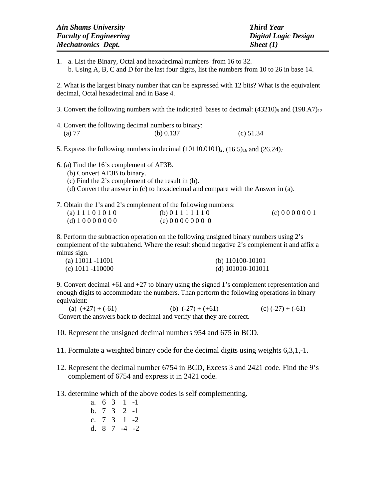| Ain Shams University          | <b>Third Year</b>    |
|-------------------------------|----------------------|
| <b>Faculty of Engineering</b> | Digital Logic Design |
| <i>Mechatronics Dept.</i>     | Sheet(1)             |

1. a. List the Binary, Octal and hexadecimal numbers from 16 to 32. b. Using A, B, C and D for the last four digits, list the numbers from 10 to 26 in base 14.

2. What is the largest binary number that can be expressed with 12 bits? What is the equivalent decimal, Octal hexadecimal and in Base 4.

- 3. Convert the following numbers with the indicated bases to decimal:  $(43210)_5$  and  $(198. A7)_{12}$
- 4. Convert the following decimal numbers to binary: (a) 77 (b) 0.137 (c) 51.34
- 5. Express the following numbers in decimal  $(10110.0101)_2$ ,  $(16.5)_{16}$  and  $(26.24)_7$
- 6. (a) Find the 16's complement of AF3B.
	- (b) Convert AF3B to binary.
	- (c) Find the 2's complement of the result in (b).
	- (d) Convert the answer in (c) to hexadecimal and compare with the Answer in (a).

7. Obtain the 1's and 2's complement of the following numbers:

| (a) $11101010$ | (b) 0 1 1 1 1 1 1 0 | (c) 0 0 0 0 0 0 1 |
|----------------|---------------------|-------------------|
| (d) $10000000$ | (e) 0 0 0 0 0 0 0 0 |                   |

8. Perform the subtraction operation on the following unsigned binary numbers using 2's complement of the subtrahend. Where the result should negative 2's complement it and affix a minus sign.

| (a) $11011 - 11001$ | (b) $110100 - 10101$ |
|---------------------|----------------------|
| (c) $1011 - 110000$ | (d) $101010-101011$  |

9. Convert decimal  $+61$  and  $+27$  to binary using the signed 1's complement representation and enough digits to accommodate the numbers. Than perform the following operations in binary equivalent:

(a)  $(+27) + (-61)$  (b)  $(-27) + (+61)$  (c)  $(-27) + (-61)$ Convert the answers back to decimal and verify that they are correct.

- 10. Represent the unsigned decimal numbers 954 and 675 in BCD.
- 11. Formulate a weighted binary code for the decimal digits using weights 6,3,1,-1.
- 12. Represent the decimal number 6754 in BCD, Excess 3 and 2421 code. Find the 9's complement of 6754 and express it in 2421 code.
- 13. determine which of the above codes is self complementing.
	- a. 6 3 1 -1 b. 7 3 2 -1 c. 7 3 1 -2 d. 8 7 -4 -2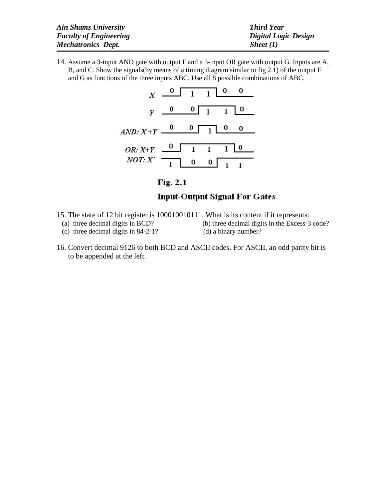| <b>Ain Shams University</b>   | <b>Third Year</b>    |
|-------------------------------|----------------------|
| <b>Faculty of Engineering</b> | Digital Logic Design |
| <b>Mechatronics Dept.</b>     | Sheet $(I)$          |

14. Assume a 3-input AND gate with output F and a 3-input OR gate with output G. Inputs are A, B, and C. Show the signals(by means of a timing diagram similar to fig 2.1) of the output  $F$ and G as functions of the three inputs ABC. Use all 8 possible combinations of ABC.

|                      | $X \begin{array}{c c} 0 & 1 & 1 \end{array}$ $\begin{array}{c c} 0 & 0 \end{array}$ |                                                |  |
|----------------------|-------------------------------------------------------------------------------------|------------------------------------------------|--|
|                      | $y = 0$ 0 1 1 0                                                                     |                                                |  |
| $AND: X+Y$ 0 0 1 0 0 |                                                                                     |                                                |  |
| $OR: X+Y$ 0 1 1 0    |                                                                                     |                                                |  |
| NOT: X'              | $\overline{1}$                                                                      | $\begin{bmatrix} 0 & 0 \\ 1 & 1 \end{bmatrix}$ |  |

Fig. 2.1

## **Input-Output Signal For Gates**

- 15. The state of 12 bit register is 100010010111. What is its content if it represents:<br>(a) three decimal digits in BCD? (b) three decimal digits in the Excess-3
	- (c) three decimal digits in  $84-2-1$ ?
- (b) three decimal digits in the Excess-3 code? (d) a binary number?
- 16. Convert decimal 9126 to both BCD and ASCII codes. For ASCII, an odd parity bit is to be appended at the left.